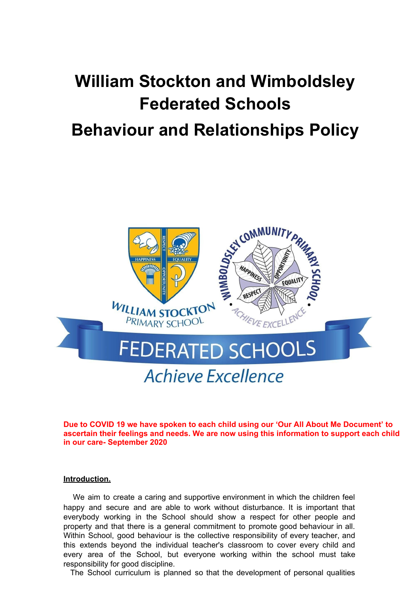# **William Stockton and Wimboldsley Federated Schools Behaviour and Relationships Policy**



**Due to COVID 19 we have spoken to each child using our 'Our All About Me Document' to ascertain their feelings and needs. We are now using this information to support each child in our care- September 2020**

#### **Introduction.**

We aim to create a caring and supportive environment in which the children feel happy and secure and are able to work without disturbance. It is important that everybody working in the School should show a respect for other people and property and that there is a general commitment to promote good behaviour in all. Within School, good behaviour is the collective responsibility of every teacher, and this extends beyond the individual teacher's classroom to cover every child and every area of the School, but everyone working within the school must take responsibility for good discipline.

The School curriculum is planned so that the development of personal qualities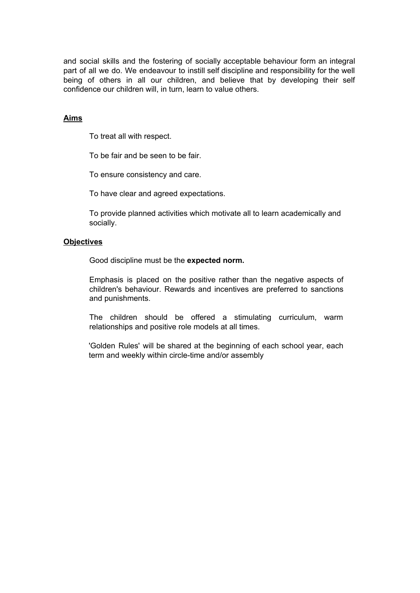and social skills and the fostering of socially acceptable behaviour form an integral part of all we do. We endeavour to instill self discipline and responsibility for the well being of others in all our children, and believe that by developing their self confidence our children will, in turn, learn to value others.

# **Aims**

To treat all with respect.

To be fair and be seen to be fair.

To ensure consistency and care.

To have clear and agreed expectations.

To provide planned activities which motivate all to learn academically and socially.

#### **Objectives**

Good discipline must be the **expected norm.**

Emphasis is placed on the positive rather than the negative aspects of children's behaviour. Rewards and incentives are preferred to sanctions and punishments.

The children should be offered a stimulating curriculum, warm relationships and positive role models at all times.

'Golden Rules' will be shared at the beginning of each school year, each term and weekly within circle-time and/or assembly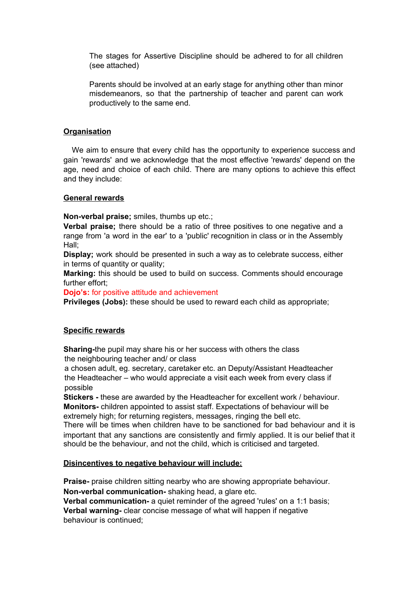The stages for Assertive Discipline should be adhered to for all children (see attached)

Parents should be involved at an early stage for anything other than minor misdemeanors, so that the partnership of teacher and parent can work productively to the same end.

# **Organisation**

We aim to ensure that every child has the opportunity to experience success and gain 'rewards' and we acknowledge that the most effective 'rewards' depend on the age, need and choice of each child. There are many options to achieve this effect and they include:

# **General rewards**

**Non-verbal praise;** smiles, thumbs up etc.;

**Verbal praise;** there should be a ratio of three positives to one negative and a range from 'a word in the ear' to a 'public' recognition in class or in the Assembly Hall;

**Display;** work should be presented in such a way as to celebrate success, either in terms of quantity or quality;

**Marking:** this should be used to build on success. Comments should encourage further effort;

**Dojo's:** for positive attitude and achievement

**Privileges (Jobs):** these should be used to reward each child as appropriate;

# **Specific rewards**

**Sharing-**the pupil may share his or her success with others the class the neighbouring teacher and/ or class

a chosen adult, eg. secretary, caretaker etc. an Deputy/Assistant Headteacher the Headteacher – who would appreciate a visit each week from every class if possible

**Stickers -** these are awarded by the Headteacher for excellent work / behaviour. **Monitors-** children appointed to assist staff. Expectations of behaviour will be

extremely high; for returning registers, messages, ringing the bell etc.

There will be times when children have to be sanctioned for bad behaviour and it is important that any sanctions are consistently and firmly applied. It is our belief that it should be the behaviour, and not the child, which is criticised and targeted.

#### **Disincentives to negative behaviour will include:**

**Praise-** praise children sitting nearby who are showing appropriate behaviour. **Non-verbal communication-** shaking head, a glare etc.

**Verbal communication-** a quiet reminder of the agreed 'rules' on a 1:1 basis; **Verbal warning-** clear concise message of what will happen if negative behaviour is continued;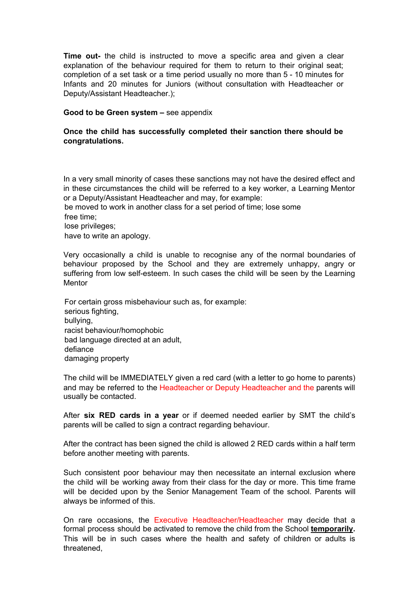**Time out-** the child is instructed to move a specific area and given a clear explanation of the behaviour required for them to return to their original seat; completion of a set task or a time period usually no more than 5 - 10 minutes for Infants and 20 minutes for Juniors (without consultation with Headteacher or Deputy/Assistant Headteacher.);

#### **Good to be Green system –** see appendix

## **Once the child has successfully completed their sanction there should be congratulations.**

In a very small minority of cases these sanctions may not have the desired effect and in these circumstances the child will be referred to a key worker, a Learning Mentor or a Deputy/Assistant Headteacher and may, for example:

be moved to work in another class for a set period of time; lose some free time;

lose privileges;

have to write an apology.

Very occasionally a child is unable to recognise any of the normal boundaries of behaviour proposed by the School and they are extremely unhappy, angry or suffering from low self-esteem. In such cases the child will be seen by the Learning Mentor

For certain gross misbehaviour such as, for example: serious fighting, bullying, racist behaviour/homophobic bad language directed at an adult, defiance damaging property

The child will be IMMEDIATELY given a red card (with a letter to go home to parents) and may be referred to the Headteacher or Deputy Headteacher and the parents will usually be contacted.

After **six RED cards in a year** or if deemed needed earlier by SMT the child's parents will be called to sign a contract regarding behaviour.

After the contract has been signed the child is allowed 2 RED cards within a half term before another meeting with parents.

Such consistent poor behaviour may then necessitate an internal exclusion where the child will be working away from their class for the day or more. This time frame will be decided upon by the Senior Management Team of the school. Parents will always be informed of this.

On rare occasions, the Executive Headteacher/Headteacher may decide that a formal process should be activated to remove the child from the School **temporarily.** This will be in such cases where the health and safety of children or adults is threatened,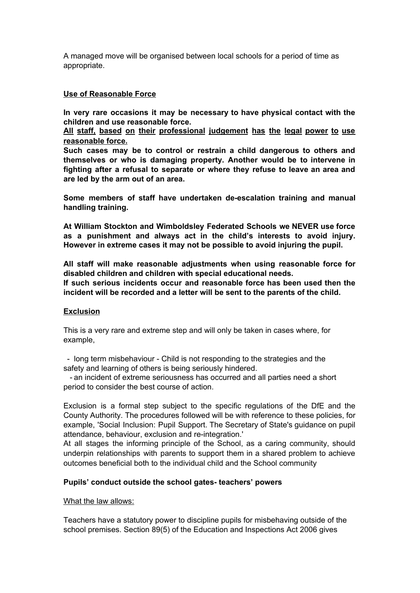A managed move will be organised between local schools for a period of time as appropriate.

### **Use of Reasonable Force**

**In very rare occasions it may be necessary to have physical contact with the children and use reasonable force.**

**All staff, based on their professional judgement has the legal power to use reasonable force.**

**Such cases may be to control or restrain a child dangerous to others and themselves or who is damaging property. Another would be to intervene in fighting after a refusal to separate or where they refuse to leave an area and are led by the arm out of an area.**

**Some members of staff have undertaken de-escalation training and manual handling training.**

**At William Stockton and Wimboldsley Federated Schools we NEVER use force as a punishment and always act in the child's interests to avoid injury. However in extreme cases it may not be possible to avoid injuring the pupil.**

**All staff will make reasonable adjustments when using reasonable force for disabled children and children with special educational needs.**

**If such serious incidents occur and reasonable force has been used then the incident will be recorded and a letter will be sent to the parents of the child.**

#### **Exclusion**

This is a very rare and extreme step and will only be taken in cases where, for example,

- long term misbehaviour - Child is not responding to the strategies and the safety and learning of others is being seriously hindered.

- an incident of extreme seriousness has occurred and all parties need a short period to consider the best course of action.

Exclusion is a formal step subject to the specific regulations of the DfE and the County Authority. The procedures followed will be with reference to these policies, for example, 'Social Inclusion: Pupil Support. The Secretary of State's guidance on pupil attendance, behaviour, exclusion and re-integration.'

At all stages the informing principle of the School, as a caring community, should underpin relationships with parents to support them in a shared problem to achieve outcomes beneficial both to the individual child and the School community

### **Pupils' conduct outside the school gates- teachers' powers**

#### What the law allows:

Teachers have a statutory power to discipline pupils for misbehaving outside of the school premises. Section 89(5) of the Education and Inspections Act 2006 gives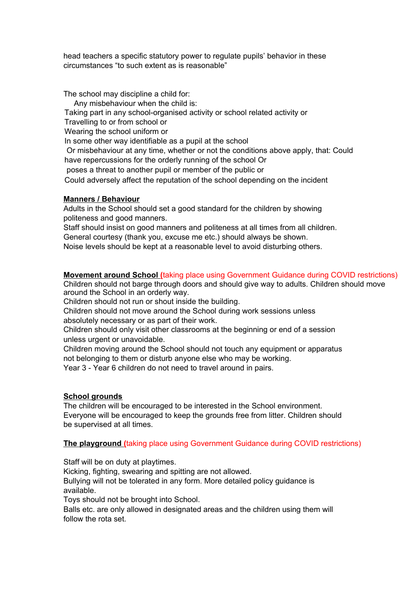head teachers a specific statutory power to regulate pupils' behavior in these circumstances "to such extent as is reasonable"

The school may discipline a child for:

Any misbehaviour when the child is: Taking part in any school-organised activity or school related activity or Travelling to or from school or Wearing the school uniform or In some other way identifiable as a pupil at the school Or misbehaviour at any time, whether or not the conditions above apply, that: Could have repercussions for the orderly running of the school Or poses a threat to another pupil or member of the public or Could adversely affect the reputation of the school depending on the incident

# **Manners / Behaviour**

Adults in the School should set a good standard for the children by showing politeness and good manners.

Staff should insist on good manners and politeness at all times from all children.

General courtesy (thank you, excuse me etc.) should always be shown.

Noise levels should be kept at a reasonable level to avoid disturbing others.

# **Movement around School (**taking place using Government Guidance during COVID restrictions)

Children should not barge through doors and should give way to adults. Children should move around the School in an orderly way.

Children should not run or shout inside the building.

Children should not move around the School during work sessions unless

absolutely necessary or as part of their work.

Children should only visit other classrooms at the beginning or end of a session unless urgent or unavoidable.

Children moving around the School should not touch any equipment or apparatus not belonging to them or disturb anyone else who may be working.

Year 3 - Year 6 children do not need to travel around in pairs.

# **School grounds**

The children will be encouraged to be interested in the School environment. Everyone will be encouraged to keep the grounds free from litter. Children should be supervised at all times.

# **The playground (**taking place using Government Guidance during COVID restrictions)

Staff will be on duty at playtimes.

Kicking, fighting, swearing and spitting are not allowed.

Bullying will not be tolerated in any form. More detailed policy guidance is available.

Toys should not be brought into School.

Balls etc. are only allowed in designated areas and the children using them will follow the rota set.